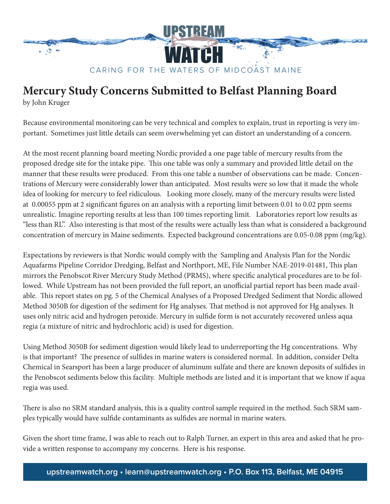

## **Mercury Study Concerns Submitted to Belfast Planning Board**

by John Kruger

Because environmental monitoring can be very technical and complex to explain, trust in reporting is very important. Sometimes just little details can seem overwhelming yet can distort an understanding of a concern.

At the most recent planning board meeting Nordic provided a one page table of mercury results from the proposed dredge site for the intake pipe. This one table was only a summary and provided little detail on the manner that these results were produced. From this one table a number of observations can be made. Concentrations of Mercury were considerably lower than anticipated. Most results were so low that it made the whole idea of looking for mercury to feel ridiculous. Looking more closely, many of the mercury results were listed at 0.00055 ppm at 2 significant figures on an analysis with a reporting limit between 0.01 to 0.02 ppm seems unrealistic. Imagine reporting results at less than 100 times reporting limit. Laboratories report low results as "less than RL". Also interesting is that most of the results were actually less than what is considered a background concentration of mercury in Maine sediments. Expected background concentrations are 0.05-0.08 ppm (mg/kg).

Expectations by reviewers is that Nordic would comply with the Sampling and Analysis Plan for the Nordic Aquafarms Pipeline Corridor Dredging, Belfast and Northport, ME, File Number NAE-2019-01481, This plan mirrors the Penobscot River Mercury Study Method (PRMS), where specific analytical procedures are to be followed. While Upstream has not been provided the full report, an unofficial partial report has been made available. This report states on pg. 5 of the Chemical Analyses of a Proposed Dredged Sediment that Nordic allowed Method 3050B for digestion of the sediment for Hg analyses. That method is not approved for Hg analyses. It uses only nitric acid and hydrogen peroxide. Mercury in sulfide form is not accurately recovered unless aqua regia (a mixture of nitric and hydrochloric acid) is used for digestion.

Using Method 3050B for sediment digestion would likely lead to underreporting the Hg concentrations. Why is that important? The presence of sulfides in marine waters is considered normal. In addition, consider Delta Chemical in Searsport has been a large producer of aluminum sulfate and there are known deposits of sulfides in the Penobscot sediments below this facility. Multiple methods are listed and it is important that we know if aqua regia was used.

There is also no SRM standard analysis, this is a quality control sample required in the method. Such SRM samples typically would have sulfide contaminants as sulfides are normal in marine waters.

Given the short time frame, I was able to reach out to Ralph Turner, an expert in this area and asked that he provide a written response to accompany my concerns. Here is his response.

**upstreamwatch.org • learn@upstreamwatch.org • P.O. Box 113, Belfast, ME 04915**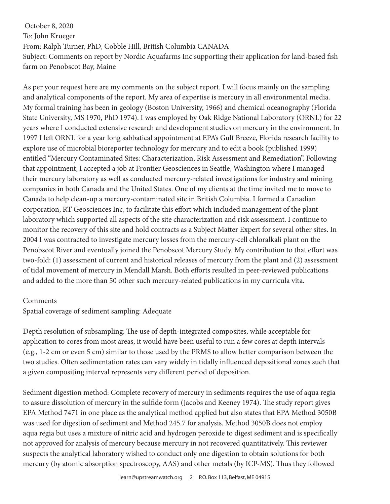October 8, 2020 To: John Krueger From: Ralph Turner, PhD, Cobble Hill, British Columbia CANADA Subject: Comments on report by Nordic Aquafarms Inc supporting their application for land-based fish farm on Penobscot Bay, Maine

As per your request here are my comments on the subject report. I will focus mainly on the sampling and analytical components of the report. My area of expertise is mercury in all environmental media. My formal training has been in geology (Boston University, 1966) and chemical oceanography (Florida State University, MS 1970, PhD 1974). I was employed by Oak Ridge National Laboratory (ORNL) for 22 years where I conducted extensive research and development studies on mercury in the environment. In 1997 I left ORNL for a year long sabbatical appointment at EPA's Gulf Breeze, Florida research facility to explore use of microbial bioreporter technology for mercury and to edit a book (published 1999) entitled "Mercury Contaminated Sites: Characterization, Risk Assessment and Remediation". Following that appointment, I accepted a job at Frontier Geosciences in Seattle, Washington where I managed their mercury laboratory as well as conducted mercury-related investigations for industry and mining companies in both Canada and the United States. One of my clients at the time invited me to move to Canada to help clean-up a mercury-contaminated site in British Columbia. I formed a Canadian corporation, RT Geosciences Inc, to facilitate this effort which included management of the plant laboratory which supported all aspects of the site characterization and risk assessment. I continue to monitor the recovery of this site and hold contracts as a Subject Matter Expert for several other sites. In 2004 I was contracted to investigate mercury losses from the mercury-cell chloralkali plant on the Penobscot River and eventually joined the Penobscot Mercury Study. My contribution to that effort was two-fold: (1) assessment of current and historical releases of mercury from the plant and (2) assessment of tidal movement of mercury in Mendall Marsh. Both efforts resulted in peer-reviewed publications and added to the more than 50 other such mercury-related publications in my curricula vita.

## Comments

Spatial coverage of sediment sampling: Adequate

Depth resolution of subsampling: The use of depth-integrated composites, while acceptable for application to cores from most areas, it would have been useful to run a few cores at depth intervals (e.g., 1-2 cm or even 5 cm) similar to those used by the PRMS to allow better comparison between the two studies. Often sedimentation rates can vary widely in tidally influenced depositional zones such that a given compositing interval represents very different period of deposition.

Sediment digestion method: Complete recovery of mercury in sediments requires the use of aqua regia to assure dissolution of mercury in the sulfide form (Jacobs and Keeney 1974). The study report gives EPA Method 7471 in one place as the analytical method applied but also states that EPA Method 3050B was used for digestion of sediment and Method 245.7 for analysis. Method 3050B does not employ aqua regia but uses a mixture of nitric acid and hydrogen peroxide to digest sediment and is specifically not approved for analysis of mercury because mercury in not recovered quantitatively. This reviewer suspects the analytical laboratory wished to conduct only one digestion to obtain solutions for both mercury (by atomic absorption spectroscopy, AAS) and other metals (by ICP-MS). Thus they followed